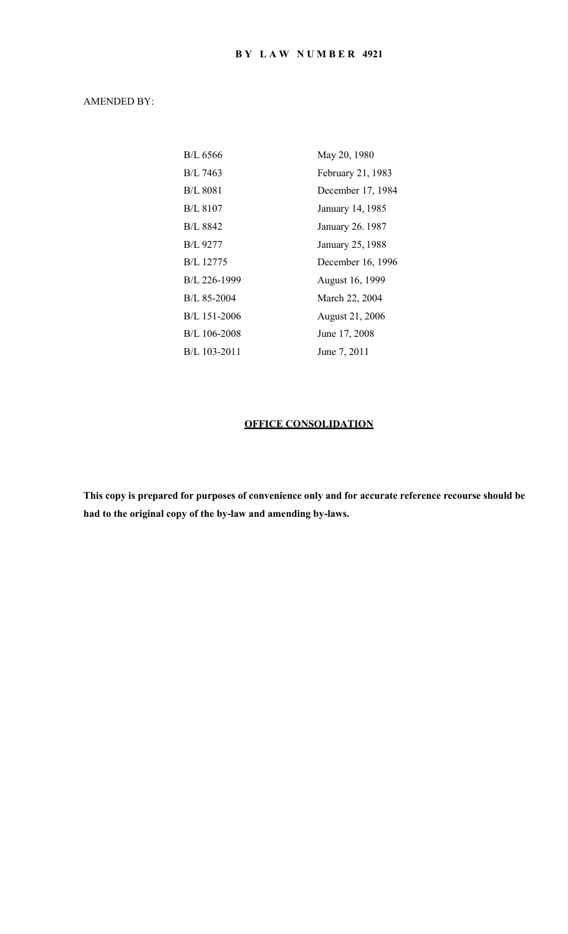# AMENDED BY:

| <b>B/L 6566</b>  | May 20, 1980      |
|------------------|-------------------|
| B/L 7463         | February 21, 1983 |
| <b>B/L 8081</b>  | December 17, 1984 |
| <b>B/L 8107</b>  | January 14, 1985  |
| B/L 8842         | January 26.1987   |
| <b>B/L 9277</b>  | January 25, 1988  |
| <b>B/L</b> 12775 | December 16, 1996 |
| B/L 226-1999     | August 16, 1999   |
| B/L 85-2004      | March 22, 2004    |
| B/L 151-2006     | August 21, 2006   |
| B/L 106-2008     | June 17, 2008     |
| B/L 103-2011     | June 7, 2011      |

# **OFFICE CONSOLIDATION**

**This copy is prepared for purposes of convenience only and for accurate reference recourse should be had to the original copy of the by-law and amending by-laws.**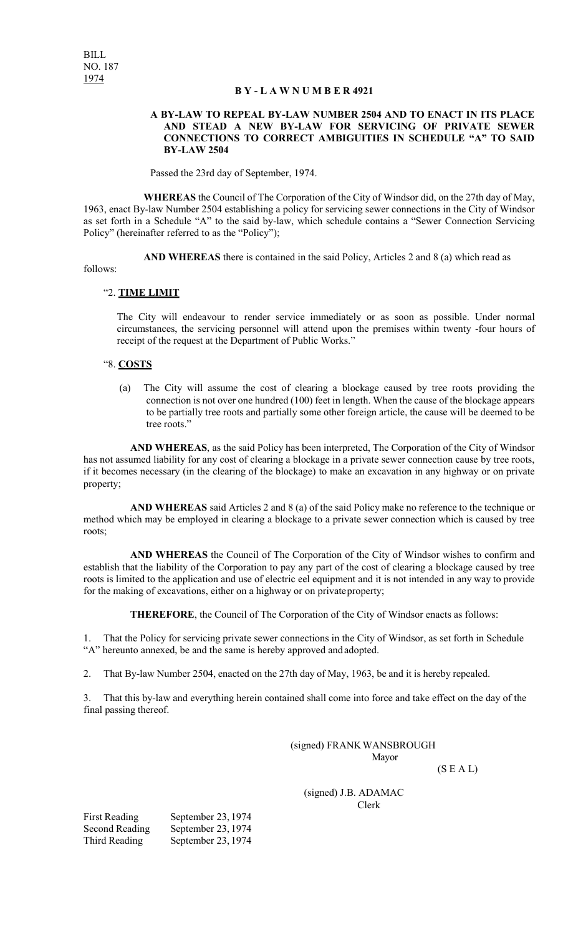#### **B Y - L A W N U M B E R 4921**

#### **A BY-LAW TO REPEAL BY-LAW NUMBER 2504 AND TO ENACT IN ITS PLACE AND STEAD A NEW BY-LAW FOR SERVICING OF PRIVATE SEWER CONNECTIONS TO CORRECT AMBIGUITIES IN SCHEDULE "A" TO SAID BY-LAW 2504**

Passed the 23rd day of September, 1974.

**WHEREAS** the Council of The Corporation of the City of Windsor did, on the 27th day of May, 1963, enact By-law Number 2504 establishing a policy for servicing sewer connections in the City of Windsor as set forth in a Schedule "A" to the said by-law, which schedule contains a "Sewer Connection Servicing Policy" (hereinafter referred to as the "Policy");

**AND WHEREAS** there is contained in the said Policy, Articles 2 and 8 (a) which read as

follows:

#### "2. **TIME LIMIT**

The City will endeavour to render service immediately or as soon as possible. Under normal circumstances, the servicing personnel will attend upon the premises within twenty -four hours of receipt of the request at the Department of Public Works."

#### "8. **COSTS**

(a) The City will assume the cost of clearing a blockage caused by tree roots providing the connection is not over one hundred (100) feet in length. When the cause of the blockage appears to be partially tree roots and partially some other foreign article, the cause will be deemed to be tree roots."

**AND WHEREAS**, as the said Policy has been interpreted, The Corporation of the City of Windsor has not assumed liability for any cost of clearing a blockage in a private sewer connection cause by tree roots, if it becomes necessary (in the clearing of the blockage) to make an excavation in any highway or on private property;

**AND WHEREAS** said Articles 2 and 8 (a) of the said Policy make no reference to the technique or method which may be employed in clearing a blockage to a private sewer connection which is caused by tree roots;

**AND WHEREAS** the Council of The Corporation of the City of Windsor wishes to confirm and establish that the liability of the Corporation to pay any part of the cost of clearing a blockage caused by tree roots is limited to the application and use of electric eel equipment and it is not intended in any way to provide for the making of excavations, either on a highway or on privateproperty;

**THEREFORE**, the Council of The Corporation of the City of Windsor enacts as follows:

1. That the Policy for servicing private sewer connections in the City of Windsor, as set forth in Schedule "A" hereunto annexed, be and the same is hereby approved andadopted.

2. That By-law Number 2504, enacted on the 27th day of May, 1963, be and it is hereby repealed.

3. That this by-law and everything herein contained shall come into force and take effect on the day of the final passing thereof.

> (signed) FRANKWANSBROUGH Mayor

 $(S E A L)$ 

(signed) J.B. ADAMAC Clerk

First Reading September 23, 1974 Second Reading September 23, 1974 Third Reading September 23, 1974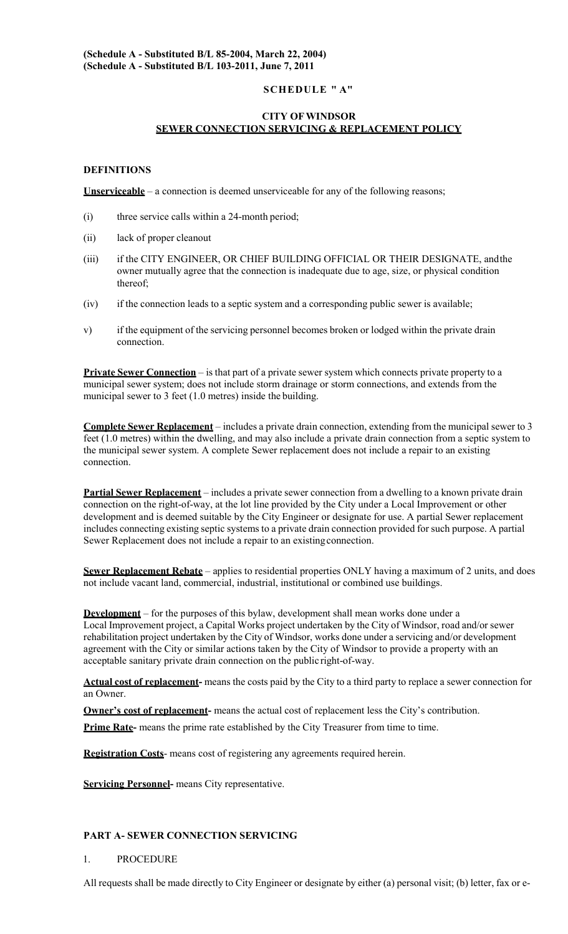# **SCHEDULE " A"**

# **CITY OFWINDSOR SEWER CONNECTION SERVICING & REPLACEMENT POLICY**

# **DEFINITIONS**

**Unserviceable** – a connection is deemed unserviceable for any of the following reasons;

- (i) three service calls within a 24-month period;
- (ii) lack of proper cleanout
- (iii) if the CITY ENGINEER, OR CHIEF BUILDING OFFICIAL OR THEIR DESIGNATE, and the owner mutually agree that the connection is inadequate due to age, size, or physical condition thereof;
- (iv) if the connection leads to a septic system and a corresponding public sewer is available;
- v) if the equipment of the servicing personnel becomes broken or lodged within the private drain connection.

**Private Sewer Connection** – is that part of a private sewer system which connects private property to a municipal sewer system; does not include storm drainage or storm connections, and extends from the municipal sewer to 3 feet (1.0 metres) inside the building.

**Complete Sewer Replacement** – includes a private drain connection, extending from the municipal sewer to 3 feet (1.0 metres) within the dwelling, and may also include a private drain connection from a septic system to the municipal sewer system. A complete Sewer replacement does not include a repair to an existing connection.

**Partial Sewer Replacement** – includes a private sewer connection from a dwelling to a known private drain connection on the right-of-way, at the lot line provided by the City under a Local Improvement or other development and is deemed suitable by the City Engineer or designate for use. A partial Sewer replacement includes connecting existing septic systems to a private drain connection provided for such purpose. A partial Sewer Replacement does not include a repair to an existingconnection.

**Sewer Replacement Rebate** – applies to residential properties ONLY having a maximum of 2 units, and does not include vacant land, commercial, industrial, institutional or combined use buildings.

**Development** – for the purposes of this bylaw, development shall mean works done under a Local Improvement project, a Capital Works project undertaken by the City of Windsor, road and/or sewer rehabilitation project undertaken by the City of Windsor, works done under a servicing and/or development agreement with the City or similar actions taken by the City of Windsor to provide a property with an acceptable sanitary private drain connection on the public right-of-way.

**Actual cost of replacement-** means the costs paid by the City to a third party to replace a sewer connection for an Owner.

**Owner's cost of replacement-** means the actual cost of replacement less the City's contribution.

**Prime Rate-** means the prime rate established by the City Treasurer from time to time.

**Registration Costs**- means cost of registering any agreements required herein.

**Servicing Personnel-** means City representative.

# **PART A- SEWER CONNECTION SERVICING**

### 1. PROCEDURE

All requests shall be made directly to City Engineer or designate by either (a) personal visit; (b) letter, fax or e-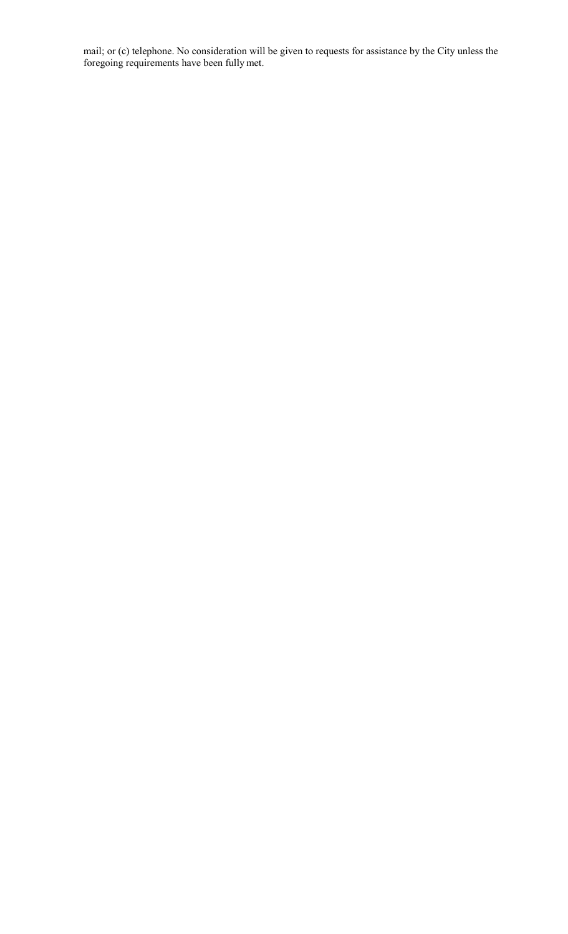mail; or (c) telephone. No consideration will be given to requests for assistance by the City unless the foregoing requirements have been fully met.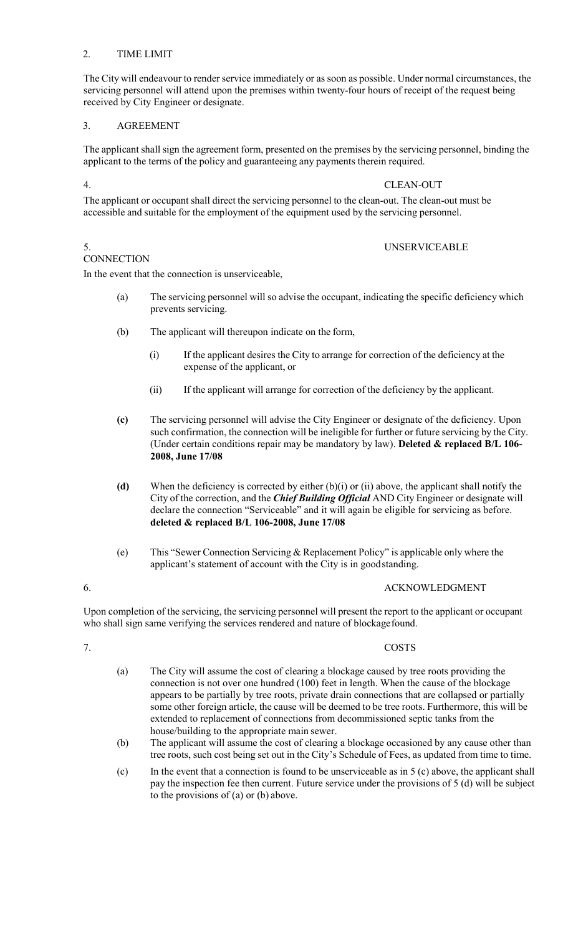### 2. TIME LIMIT

The City will endeavour to render service immediately or as soon as possible. Under normal circumstances, the servicing personnel will attend upon the premises within twenty-four hours of receipt of the request being received by City Engineer or designate.

# 3. AGREEMENT

The applicant shall sign the agreement form, presented on the premises by the servicing personnel, binding the applicant to the terms of the policy and guaranteeing any payments therein required.

# 4. CLEAN-OUT

The applicant or occupant shall direct the servicing personnel to the clean-out. The clean-out must be accessible and suitable for the employment of the equipment used by the servicing personnel.

# 5. UNSERVICEABLE

# **CONNECTION**

In the event that the connection is unserviceable,

- (a) The servicing personnel will so advise the occupant, indicating the specific deficiency which prevents servicing.
- (b) The applicant will thereupon indicate on the form,
	- (i) If the applicant desires the City to arrange for correction of the deficiency at the expense of the applicant, or
	- (ii) If the applicant will arrange for correction of the deficiency by the applicant.
- **(c)** The servicing personnel will advise the City Engineer or designate of the deficiency. Upon such confirmation, the connection will be ineligible for further or future servicing by the City. (Under certain conditions repair may be mandatory by law). **Deleted & replaced B/L 106- 2008, June 17/08**
- **(d)** When the deficiency is corrected by either (b)(i) or (ii) above, the applicant shall notify the City of the correction, and the *Chief Building Official* AND City Engineer or designate will declare the connection "Serviceable" and it will again be eligible for servicing as before. **deleted & replaced B/L 106-2008, June 17/08**
- (e) This "Sewer Connection Servicing & Replacement Policy" is applicable only where the applicant's statement of account with the City is in goodstanding.

### 6. ACKNOWLEDGMENT

Upon completion of the servicing, the servicing personnel will present the report to the applicant or occupant who shall sign same verifying the services rendered and nature of blockage found.

#### 7. COSTS

- (a) The City will assume the cost of clearing a blockage caused by tree roots providing the connection is not over one hundred (100) feet in length. When the cause of the blockage appears to be partially by tree roots, private drain connections that are collapsed or partially some other foreign article, the cause will be deemed to be tree roots. Furthermore, this will be extended to replacement of connections from decommissioned septic tanks from the house/building to the appropriate main sewer.
- (b) The applicant will assume the cost of clearing a blockage occasioned by any cause other than tree roots, such cost being set out in the City's Schedule of Fees, as updated from time to time.
- $(c)$  In the event that a connection is found to be unserviceable as in 5 (c) above, the applicant shall pay the inspection fee then current. Future service under the provisions of 5 (d) will be subject to the provisions of (a) or (b) above.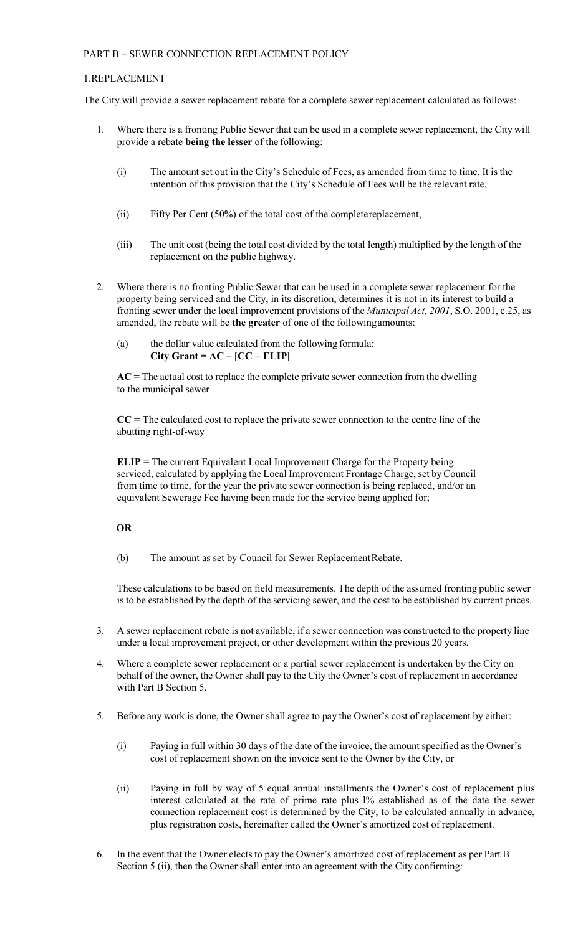# PART B – SEWER CONNECTION REPLACEMENT POLICY

#### 1.REPLACEMENT

The City will provide a sewer replacement rebate for a complete sewer replacement calculated as follows:

- 1. Where there is a fronting Public Sewer that can be used in a complete sewer replacement, the City will provide a rebate **being the lesser** of the following:
	- (i) The amount set out in the City's Schedule of Fees, as amended from time to time. It is the intention of this provision that the City's Schedule of Fees will be the relevant rate,
	- (ii) Fifty Per Cent (50%) of the total cost of the completereplacement,
	- (iii) The unit cost (being the total cost divided by the total length) multiplied by the length of the replacement on the public highway.
- 2. Where there is no fronting Public Sewer that can be used in a complete sewer replacement for the property being serviced and the City, in its discretion, determines it is not in its interest to build a fronting sewer under the local improvement provisions of the *Municipal Act, 2001*, S.O. 2001, c.25, as amended, the rebate will be **the greater** of one of the followingamounts:
	- (a) the dollar value calculated from the following formula:  $City$  Grant =  $AC - [CC + ELIP]$

**AC =** The actual cost to replace the complete private sewer connection from the dwelling to the municipal sewer

**CC =** The calculated cost to replace the private sewer connection to the centre line of the abutting right-of-way

**ELIP =** The current Equivalent Local Improvement Charge for the Property being serviced, calculated by applying the Local Improvement Frontage Charge, set byCouncil from time to time, for the year the private sewer connection is being replaced, and/or an equivalent Sewerage Fee having been made for the service being applied for;

### **OR**

(b) The amount as set by Council for Sewer ReplacementRebate.

These calculations to be based on field measurements. The depth of the assumed fronting public sewer is to be established by the depth of the servicing sewer, and the cost to be established by current prices.

- 3. A sewer replacement rebate is not available, if a sewer connection was constructed to the property line under a local improvement project, or other development within the previous 20 years.
- 4. Where a complete sewer replacement or a partial sewer replacement is undertaken by the City on behalf of the owner, the Owner shall pay to the City the Owner's cost of replacement in accordance with Part B Section 5.
- 5. Before any work is done, the Owner shall agree to pay the Owner's cost of replacement by either:
	- (i) Paying in full within 30 days of the date of the invoice, the amount specified as the Owner's cost of replacement shown on the invoice sent to the Owner by the City, or
	- (ii) Paying in full by way of 5 equal annual installments the Owner's cost of replacement plus interest calculated at the rate of prime rate plus l% established as of the date the sewer connection replacement cost is determined by the City, to be calculated annually in advance, plus registration costs, hereinafter called the Owner's amortized cost of replacement.
- 6. In the event that the Owner elects to pay the Owner's amortized cost of replacement as per Part B Section 5 (ii), then the Owner shall enter into an agreement with the City confirming: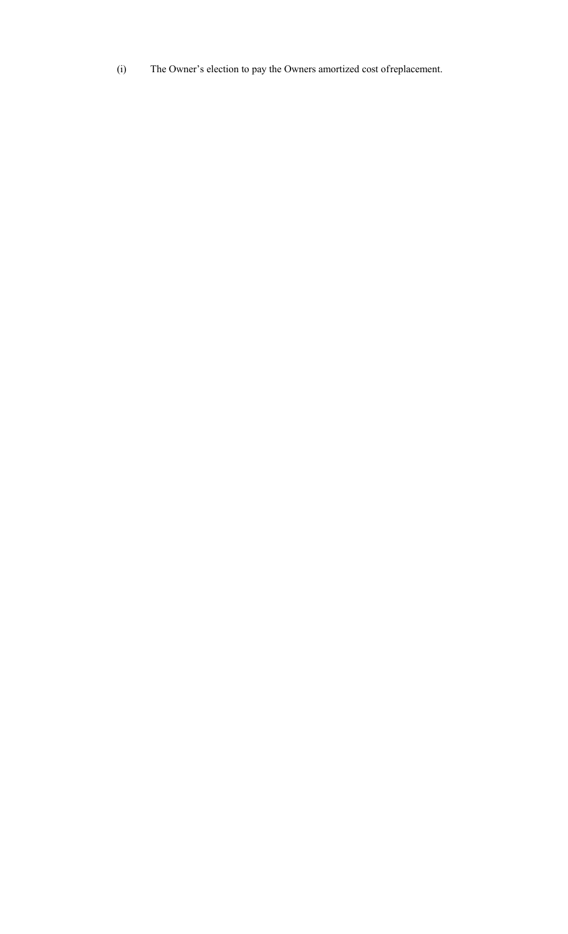(i) The Owner's election to pay the Owners amortized cost ofreplacement.